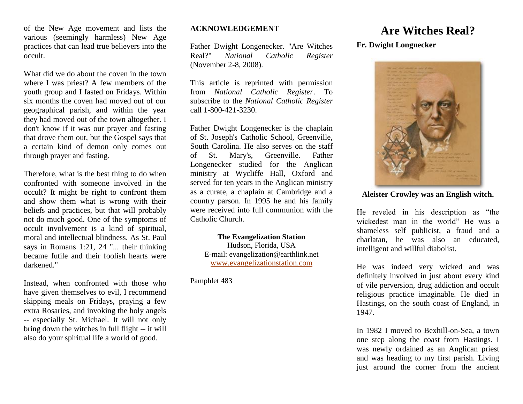of the New Age movement and lists the various (seemingly harmless) New Age practices that can lead true believers into the occult.

What did we do about the coven in the town where I was priest? A few members of the youth group and I fasted on Fridays. Within six months the coven had moved out of our geographical parish, and within the year they had moved out of the town altogether. I don't know if it was our prayer and fasting that drove them out, but the Gospel says that a certain kind of demon only comes out through prayer and fasting.

Therefore, what is the best thing to do when confronted with someone involved in the occult? It might be right to confront them and show them what is wrong with their beliefs and practices, but that will probably not do much good. One of the symptoms of occult involvement is a kind of spiritual, moral and intellectual blindness. As St. Paul says in Romans 1:21, 24 "... their thinking became futile and their foolish hearts were darkened."

Instead, when confronted with those who have given themselves to evil, I recommend skipping meals on Fridays, praying a few extra Rosaries, and invoking the holy angels -- especially St. Michael. It will not only bring down the witches in full flight -- it will also do your spiritual life a world of good.

## **ACKNOWLEDGEMENT**

Father Dwight Longenecker. "Are Witches Real?" *National Catholic Register* (November 2-8, 2008).

This article is reprinted with permission from *National Catholic Register*. To subscribe to the *National Catholic Register* call 1-800-421-3230.

Father Dwight Longenecker is the chaplain of St. Joseph's Catholic School, Greenville, South Carolina. He also serves on the staff of St. Mary's, Greenville. Father Longenecker studied for the Anglican ministry at Wycliffe Hall, Oxford and served for ten years in the Anglican ministry as a curate, a chaplain at Cambridge and a country parson. In 1995 he and his family were received into full communion with the Catholic Church.

**The Evangelization Station** Hudson, Florida, USA E-mail: evangelization@earthlink.net [www.evangelizationstation.com](http://www.pjpiisoe.org/)

Pamphlet 483

## **Are Witches Real?**

## **Fr. Dwight Longnecker**



**Aleister Crowley was an English witch.**

He reveled in his description as "the wickedest man in the world" He was a shameless self publicist, a fraud and a charlatan, he was also an educated, intelligent and willful diabolist.

He was indeed very wicked and was definitely involved in just about every kind of vile perversion, drug addiction and occult religious practice imaginable. He died in Hastings, on the south coast of England, in 1947.

In 1982 I moved to Bexhill-on-Sea, a town one step along the coast from Hastings. I was newly ordained as an Anglican priest and was heading to my first parish. Living just around the corner from the ancient